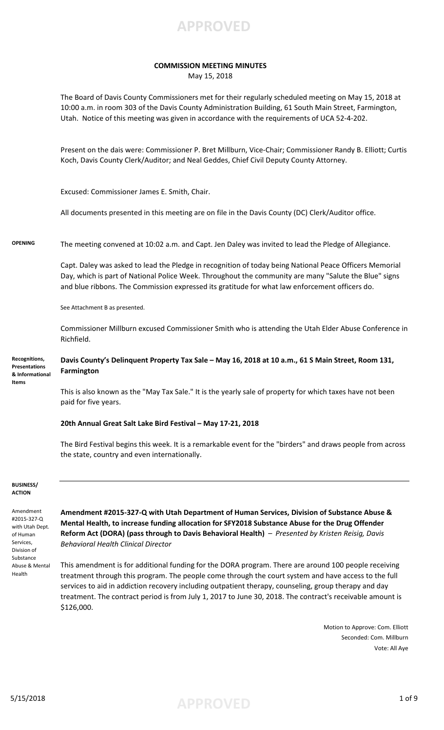

## **COMMISSION MEETING MINUTES** May 15, 2018

The Board of Davis County Commissioners met for their regularly scheduled meeting on May 15, 2018 at 10:00 a.m. in room 303 of the Davis County Administration Building, 61 South Main Street, Farmington, Utah. Notice of this meeting was given in accordance with the requirements of UCA 52-4-202.

Present on the dais were: Commissioner P. Bret Millburn, Vice-Chair; Commissioner Randy B. Elliott; Curtis Koch, Davis County Clerk/Auditor; and Neal Geddes, Chief Civil Deputy County Attorney.

Excused: Commissioner James E. Smith, Chair.

All documents presented in this meeting are on file in the Davis County (DC) Clerk/Auditor office.

**OPENING** The meeting convened at 10:02 a.m. and Capt. Jen Daley was invited to lead the Pledge of Allegiance.

Capt. Daley was asked to lead the Pledge in recognition of today being National Peace Officers Memorial Day, which is part of National Police Week. Throughout the community are many "Salute the Blue" signs and blue ribbons. The Commission expressed its gratitude for what law enforcement officers do.

See Attachment B as presented.

Commissioner Millburn excused Commissioner Smith who is attending the Utah Elder Abuse Conference in Richfield.

**Davis County's Delinquent Property Tax Sale – May 16, 2018 at 10 a.m., 61 S Main Street, Room 131, Farmington Recognitions, Presentations & Informational** 

> This is also known as the "May Tax Sale." It is the yearly sale of property for which taxes have not been paid for five years.

### **20th Annual Great Salt Lake Bird Festival – May 17-21, 2018**

The Bird Festival begins this week. It is a remarkable event for the "birders" and draws people from across the state, country and even internationally.

### **BUSINESS/ ACTION**

**Items**

Amendment #2015-327-Q with Utah Dept. of Human Services, Division of Substance Abuse & Mental Health

**Amendment #2015-327-Q with Utah Department of Human Services, Division of Substance Abuse & Mental Health, to increase funding allocation for SFY2018 Substance Abuse for the Drug Offender Reform Act (DORA) (pass through to Davis Behavioral Health)** – *Presented by Kristen Reisig, Davis Behavioral Health Clinical Director* 

This amendment is for additional funding for the DORA program. There are around 100 people receiving treatment through this program. The people come through the court system and have access to the full services to aid in addiction recovery including outpatient therapy, counseling, group therapy and day treatment. The contract period is from July 1, 2017 to June 30, 2018. The contract's receivable amount is \$126,000.

> Motion to Approve: Com. Elliott Seconded: Com. Millburn Vote: All Aye

5/15/2018 **APPROVED** 1 of 9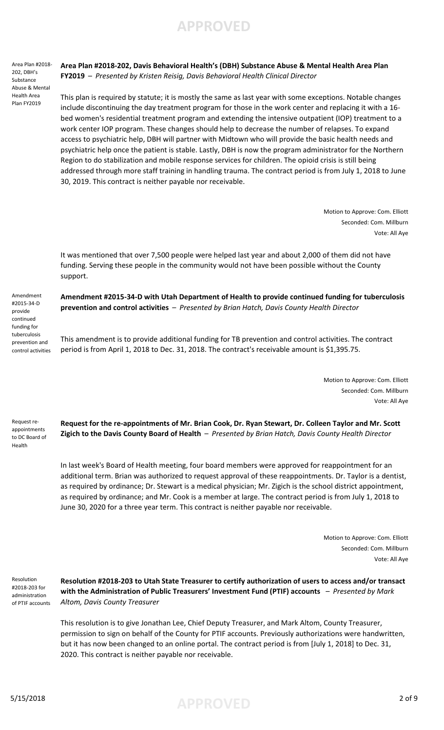Area Plan #2018- 202, DBH's Substance Abuse & Mental Health Area Plan FY2019

**Area Plan #2018-202, Davis Behavioral Health's (DBH) Substance Abuse & Mental Health Area Plan FY2019** – *Presented by Kristen Reisig, Davis Behavioral Health Clinical Director*

This plan is required by statute; it is mostly the same as last year with some exceptions. Notable changes include discontinuing the day treatment program for those in the work center and replacing it with a 16 bed women's residential treatment program and extending the intensive outpatient (IOP) treatment to a work center IOP program. These changes should help to decrease the number of relapses. To expand access to psychiatric help, DBH will partner with Midtown who will provide the basic health needs and psychiatric help once the patient is stable. Lastly, DBH is now the program administrator for the Northern Region to do stabilization and mobile response services for children. The opioid crisis is still being addressed through more staff training in handling trauma. The contract period is from July 1, 2018 to June 30, 2019. This contract is neither payable nor receivable.

> Motion to Approve: Com. Elliott Seconded: Com. Millburn Vote: All Aye

It was mentioned that over 7,500 people were helped last year and about 2,000 of them did not have funding. Serving these people in the community would not have been possible without the County support.

**Amendment #2015-34-D with Utah Department of Health to provide continued funding for tuberculosis prevention and control activities** – *Presented by Brian Hatch, Davis County Health Director*

This amendment is to provide additional funding for TB prevention and control activities. The contract period is from April 1, 2018 to Dec. 31, 2018. The contract's receivable amount is \$1,395.75.

> Motion to Approve: Com. Elliott Seconded: Com. Millburn Vote: All Aye

Request reappointments to DC Board of Health

Amendment #2015-34-D provide continued funding for tuberculosis prevention and control activities

> **Request for the re-appointments of Mr. Brian Cook, Dr. Ryan Stewart, Dr. Colleen Taylor and Mr. Scott Zigich to the Davis County Board of Health** – *Presented by Brian Hatch, Davis County Health Director*

In last week's Board of Health meeting, four board members were approved for reappointment for an additional term. Brian was authorized to request approval of these reappointments. Dr. Taylor is a dentist, as required by ordinance; Dr. Stewart is a medical physician; Mr. Zigich is the school district appointment, as required by ordinance; and Mr. Cook is a member at large. The contract period is from July 1, 2018 to June 30, 2020 for a three year term. This contract is neither payable nor receivable.

> Motion to Approve: Com. Elliott Seconded: Com. Millburn Vote: All Aye

Resolution #2018-203 for administration of PTIF accounts

**Resolution #2018-203 to Utah State Treasurer to certify authorization of users to access and/or transact with the Administration of Public Treasurers' Investment Fund (PTIF) accounts** – *Presented by Mark Altom, Davis County Treasurer*

This resolution is to give Jonathan Lee, Chief Deputy Treasurer, and Mark Altom, County Treasurer, permission to sign on behalf of the County for PTIF accounts. Previously authorizations were handwritten, but it has now been changed to an online portal. The contract period is from [July 1, 2018] to Dec. 31, 2020. This contract is neither payable nor receivable.

5/15/2018 **APPROVED** 2 of 9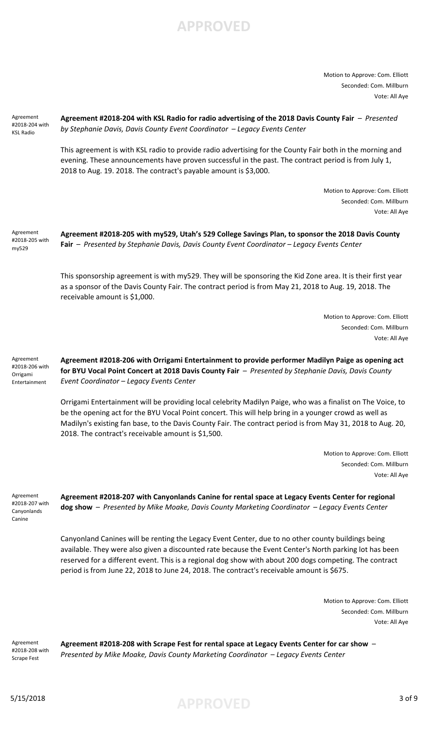

Motion to Approve: Com. Elliott Seconded: Com. Millburn Vote: All Aye

| Agreement<br>#2018-204 with<br><b>KSL Radio</b>          | Agreement #2018-204 with KSL Radio for radio advertising of the 2018 Davis County Fair - Presented<br>by Stephanie Davis, Davis County Event Coordinator - Legacy Events Center                                                                                                                                                                                                                                       |
|----------------------------------------------------------|-----------------------------------------------------------------------------------------------------------------------------------------------------------------------------------------------------------------------------------------------------------------------------------------------------------------------------------------------------------------------------------------------------------------------|
|                                                          | This agreement is with KSL radio to provide radio advertising for the County Fair both in the morning and<br>evening. These announcements have proven successful in the past. The contract period is from July 1,<br>2018 to Aug. 19. 2018. The contract's payable amount is \$3,000.                                                                                                                                 |
|                                                          | Motion to Approve: Com. Elliott<br>Seconded: Com. Millburn<br>Vote: All Aye                                                                                                                                                                                                                                                                                                                                           |
| Agreement<br>#2018-205 with<br>my529                     | Agreement #2018-205 with my529, Utah's 529 College Savings Plan, to sponsor the 2018 Davis County<br>Fair - Presented by Stephanie Davis, Davis County Event Coordinator - Legacy Events Center                                                                                                                                                                                                                       |
|                                                          | This sponsorship agreement is with my529. They will be sponsoring the Kid Zone area. It is their first year<br>as a sponsor of the Davis County Fair. The contract period is from May 21, 2018 to Aug. 19, 2018. The<br>receivable amount is \$1,000.                                                                                                                                                                 |
|                                                          | Motion to Approve: Com. Elliott                                                                                                                                                                                                                                                                                                                                                                                       |
|                                                          | Seconded: Com. Millburn                                                                                                                                                                                                                                                                                                                                                                                               |
|                                                          | Vote: All Aye                                                                                                                                                                                                                                                                                                                                                                                                         |
| Agreement<br>#2018-206 with<br>Orrigami<br>Entertainment | Agreement #2018-206 with Orrigami Entertainment to provide performer Madilyn Paige as opening act<br>for BYU Vocal Point Concert at 2018 Davis County Fair - Presented by Stephanie Davis, Davis County<br>Event Coordinator - Legacy Events Center                                                                                                                                                                   |
|                                                          | Orrigami Entertainment will be providing local celebrity Madilyn Paige, who was a finalist on The Voice, to<br>be the opening act for the BYU Vocal Point concert. This will help bring in a younger crowd as well as<br>Madilyn's existing fan base, to the Davis County Fair. The contract period is from May 31, 2018 to Aug. 20,<br>2018. The contract's receivable amount is \$1,500.                            |
|                                                          | Motion to Approve: Com. Elliott                                                                                                                                                                                                                                                                                                                                                                                       |
|                                                          | Seconded: Com. Millburn<br>Vote: All Aye                                                                                                                                                                                                                                                                                                                                                                              |
| Agreement<br>#2018-207 with<br>Canyonlands<br>Canine     | Agreement #2018-207 with Canyonlands Canine for rental space at Legacy Events Center for regional<br>dog show - Presented by Mike Moake, Davis County Marketing Coordinator - Legacy Events Center                                                                                                                                                                                                                    |
|                                                          | Canyonland Canines will be renting the Legacy Event Center, due to no other county buildings being<br>available. They were also given a discounted rate because the Event Center's North parking lot has been<br>reserved for a different event. This is a regional dog show with about 200 dogs competing. The contract<br>period is from June 22, 2018 to June 24, 2018. The contract's receivable amount is \$675. |
|                                                          | Motion to Approve: Com. Elliott<br>Seconded: Com. Millburn<br>Vote: All Aye                                                                                                                                                                                                                                                                                                                                           |
| Agreement<br>#2018-208 with<br>Scrape Fest               | Agreement #2018-208 with Scrape Fest for rental space at Legacy Events Center for car show -<br>Presented by Mike Moake, Davis County Marketing Coordinator - Legacy Events Center                                                                                                                                                                                                                                    |

5/15/2018 **APPROVED** 3 of 9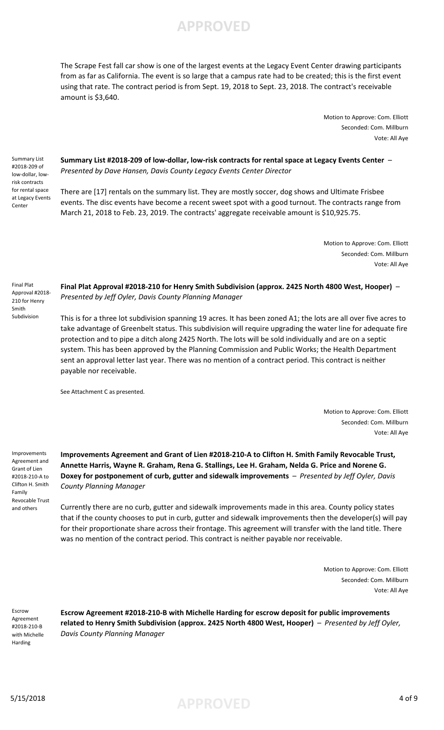

The Scrape Fest fall car show is one of the largest events at the Legacy Event Center drawing participants from as far as California. The event is so large that a campus rate had to be created; this is the first event using that rate. The contract period is from Sept. 19, 2018 to Sept. 23, 2018. The contract's receivable amount is \$3,640.

> Motion to Approve: Com. Elliott Seconded: Com. Millburn Vote: All Aye

Summary List #2018-209 of low-dollar, lowrisk contracts for rental space at Legacy Events Center

**Summary List #2018-209 of low-dollar, low-risk contracts for rental space at Legacy Events Center** – *Presented by Dave Hansen, Davis County Legacy Events Center Director*

There are [17] rentals on the summary list. They are mostly soccer, dog shows and Ultimate Frisbee events. The disc events have become a recent sweet spot with a good turnout. The contracts range from March 21, 2018 to Feb. 23, 2019. The contracts' aggregate receivable amount is \$10,925.75.

> Motion to Approve: Com. Elliott Seconded: Com. Millburn Vote: All Aye

Final Plat Approval #2018- 210 for Henry Smith Subdivision

**Final Plat Approval #2018-210 for Henry Smith Subdivision (approx. 2425 North 4800 West, Hooper)** – *Presented by Jeff Oyler, Davis County Planning Manager*

This is for a three lot subdivision spanning 19 acres. It has been zoned A1; the lots are all over five acres to take advantage of Greenbelt status. This subdivision will require upgrading the water line for adequate fire protection and to pipe a ditch along 2425 North. The lots will be sold individually and are on a septic system. This has been approved by the Planning Commission and Public Works; the Health Department sent an approval letter last year. There was no mention of a contract period. This contract is neither payable nor receivable.

See Attachment C as presented.

Motion to Approve: Com. Elliott Seconded: Com. Millburn Vote: All Aye

Improvements Agreement and Grant of Lien #2018-210-A to Clifton H. Smith Family Revocable Trust and others

**Improvements Agreement and Grant of Lien #2018-210-A to Clifton H. Smith Family Revocable Trust, Annette Harris, Wayne R. Graham, Rena G. Stallings, Lee H. Graham, Nelda G. Price and Norene G. Doxey for postponement of curb, gutter and sidewalk improvements** – *Presented by Jeff Oyler, Davis County Planning Manager*

Currently there are no curb, gutter and sidewalk improvements made in this area. County policy states that if the county chooses to put in curb, gutter and sidewalk improvements then the developer(s) will pay for their proportionate share across their frontage. This agreement will transfer with the land title. There was no mention of the contract period. This contract is neither payable nor receivable.

> Motion to Approve: Com. Elliott Seconded: Com. Millburn Vote: All Aye

Escrow Agreement #2018-210-B with Michelle Harding

**Escrow Agreement #2018-210-B with Michelle Harding for escrow deposit for public improvements related to Henry Smith Subdivision (approx. 2425 North 4800 West, Hooper)** – *Presented by Jeff Oyler, Davis County Planning Manager*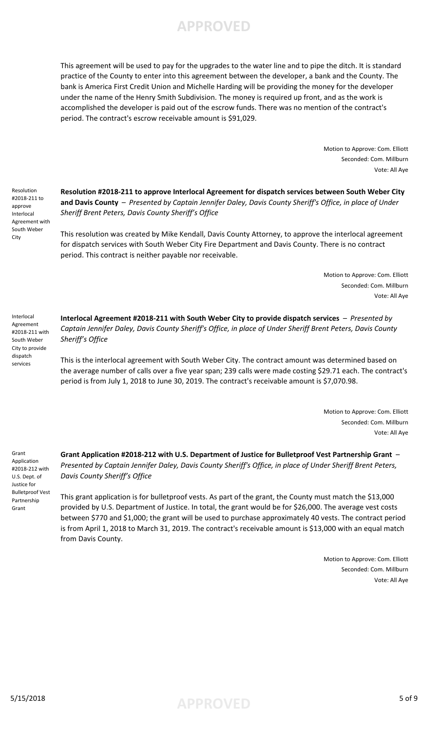

This agreement will be used to pay for the upgrades to the water line and to pipe the ditch. It is standard practice of the County to enter into this agreement between the developer, a bank and the County. The bank is America First Credit Union and Michelle Harding will be providing the money for the developer under the name of the Henry Smith Subdivision. The money is required up front, and as the work is accomplished the developer is paid out of the escrow funds. There was no mention of the contract's period. The contract's escrow receivable amount is \$91,029.

> Motion to Approve: Com. Elliott Seconded: Com. Millburn Vote: All Aye

**Resolution #2018-211 to approve Interlocal Agreement for dispatch services between South Weber City and Davis County** – *Presented by Captain Jennifer Daley, Davis County Sheriff's Office, in place of Under Sheriff Brent Peters, Davis County Sheriff's Office*

This resolution was created by Mike Kendall, Davis County Attorney, to approve the interlocal agreement for dispatch services with South Weber City Fire Department and Davis County. There is no contract period. This contract is neither payable nor receivable.

> Motion to Approve: Com. Elliott Seconded: Com. Millburn Vote: All Aye

Interlocal Agreement #2018-211 with South Weber City to provide dispatch services

Resolution #2018-211 to approve Interlocal Agreement with South Weber City

> **Interlocal Agreement #2018-211 with South Weber City to provide dispatch services** – *Presented by Captain Jennifer Daley, Davis County Sheriff's Office, in place of Under Sheriff Brent Peters, Davis County Sheriff's Office*

This is the interlocal agreement with South Weber City. The contract amount was determined based on the average number of calls over a five year span; 239 calls were made costing \$29.71 each. The contract's period is from July 1, 2018 to June 30, 2019. The contract's receivable amount is \$7,070.98.

> Motion to Approve: Com. Elliott Seconded: Com. Millburn Vote: All Aye

Grant Application #2018-212 with U.S. Dept. of Justice for Bulletproof Vest Partnership Grant

**Grant Application #2018-212 with U.S. Department of Justice for Bulletproof Vest Partnership Grant** – *Presented by Captain Jennifer Daley, Davis County Sheriff's Office, in place of Under Sheriff Brent Peters, Davis County Sheriff's Office*

This grant application is for bulletproof vests. As part of the grant, the County must match the \$13,000 provided by U.S. Department of Justice. In total, the grant would be for \$26,000. The average vest costs between \$770 and \$1,000; the grant will be used to purchase approximately 40 vests. The contract period is from April 1, 2018 to March 31, 2019. The contract's receivable amount is \$13,000 with an equal match from Davis County.

> Motion to Approve: Com. Elliott Seconded: Com. Millburn Vote: All Aye

5/15/2018 5 of 9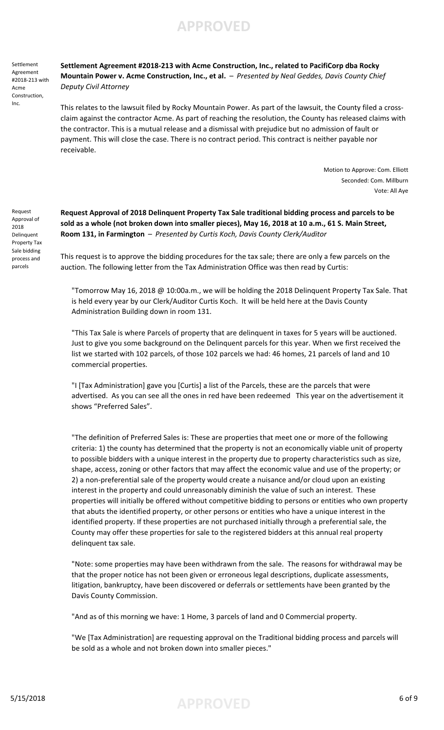Settlement Agreement #2018-213 with Acme Construction, Inc.

**Settlement Agreement #2018-213 with Acme Construction, Inc., related to PacifiCorp dba Rocky Mountain Power v. Acme Construction, Inc., et al.** – *Presented by Neal Geddes, Davis County Chief Deputy Civil Attorney*

This relates to the lawsuit filed by Rocky Mountain Power. As part of the lawsuit, the County filed a crossclaim against the contractor Acme. As part of reaching the resolution, the County has released claims with the contractor. This is a mutual release and a dismissal with prejudice but no admission of fault or payment. This will close the case. There is no contract period. This contract is neither payable nor receivable.

> Motion to Approve: Com. Elliott Seconded: Com. Millburn Vote: All Aye

Request Approval of 2018 Delinquent Property Tax Sale bidding process and parcels

**Request Approval of 2018 Delinquent Property Tax Sale traditional bidding process and parcels to be sold as a whole (not broken down into smaller pieces), May 16, 2018 at 10 a.m., 61 S. Main Street, Room 131, in Farmington** – *Presented by Curtis Koch, Davis County Clerk/Auditor*

This request is to approve the bidding procedures for the tax sale; there are only a few parcels on the auction. The following letter from the Tax Administration Office was then read by Curtis:

"Tomorrow May 16, 2018 @ 10:00a.m., we will be holding the 2018 Delinquent Property Tax Sale. That is held every year by our Clerk/Auditor Curtis Koch. It will be held here at the Davis County Administration Building down in room 131.

"This Tax Sale is where Parcels of property that are delinquent in taxes for 5 years will be auctioned. Just to give you some background on the Delinquent parcels for this year. When we first received the list we started with 102 parcels, of those 102 parcels we had: 46 homes, 21 parcels of land and 10 commercial properties.

"I [Tax Administration] gave you [Curtis] a list of the Parcels, these are the parcels that were advertised. As you can see all the ones in red have been redeemed This year on the advertisement it shows "Preferred Sales".

"The definition of Preferred Sales is: These are properties that meet one or more of the following criteria: 1) the county has determined that the property is not an economically viable unit of property to possible bidders with a unique interest in the property due to property characteristics such as size, shape, access, zoning or other factors that may affect the economic value and use of the property; or 2) a non-preferential sale of the property would create a nuisance and/or cloud upon an existing interest in the property and could unreasonably diminish the value of such an interest. These properties will initially be offered without competitive bidding to persons or entities who own property that abuts the identified property, or other persons or entities who have a unique interest in the identified property. If these properties are not purchased initially through a preferential sale, the County may offer these properties for sale to the registered bidders at this annual real property delinquent tax sale.

"Note: some properties may have been withdrawn from the sale. The reasons for withdrawal may be that the proper notice has not been given or erroneous legal descriptions, duplicate assessments, litigation, bankruptcy, have been discovered or deferrals or settlements have been granted by the Davis County Commission.

"And as of this morning we have: 1 Home, 3 parcels of land and 0 Commercial property.

"We [Tax Administration] are requesting approval on the Traditional bidding process and parcels will be sold as a whole and not broken down into smaller pieces."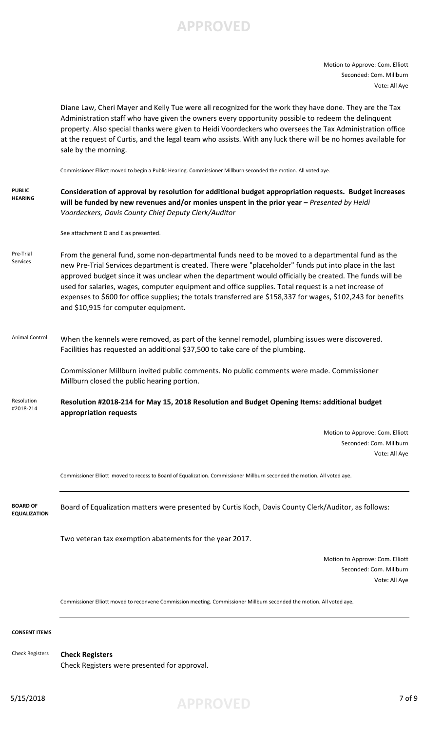Motion to Approve: Com. Elliott Seconded: Com. Millburn Vote: All Aye

Diane Law, Cheri Mayer and Kelly Tue were all recognized for the work they have done. They are the Tax Administration staff who have given the owners every opportunity possible to redeem the delinquent property. Also special thanks were given to Heidi Voordeckers who oversees the Tax Administration office at the request of Curtis, and the legal team who assists. With any luck there will be no homes available for sale by the morning.

Commissioner Elliott moved to begin a Public Hearing. Commissioner Millburn seconded the motion. All voted aye.

#### **PUBLIC HEARING Consideration of approval by resolution for additional budget appropriation requests. Budget increases**  will be funded by new revenues and/or monies unspent in the prior year - Presented by Heidi *Voordeckers, Davis County Chief Deputy Clerk/Auditor*

See attachment D and E as presented.

Pre-Trial Services From the general fund, some non-departmental funds need to be moved to a departmental fund as the new Pre-Trial Services department is created. There were "placeholder" funds put into place in the last approved budget since it was unclear when the department would officially be created. The funds will be used for salaries, wages, computer equipment and office supplies. Total request is a net increase of expenses to \$600 for office supplies; the totals transferred are \$158,337 for wages, \$102,243 for benefits and \$10,915 for computer equipment.

Animal Control When the kennels were removed, as part of the kennel remodel, plumbing issues were discovered. Facilities has requested an additional \$37,500 to take care of the plumbing.

> Commissioner Millburn invited public comments. No public comments were made. Commissioner Millburn closed the public hearing portion.

**Resolution #2018-214 for May 15, 2018 Resolution and Budget Opening Items: additional budget appropriation requests** Resolution #2018-214

> Motion to Approve: Com. Elliott Seconded: Com. Millburn Vote: All Aye

Commissioner Elliott moved to recess to Board of Equalization. Commissioner Millburn seconded the motion. All voted aye.

**BOARD OF EQUALIZATION** Board of Equalization matters were presented by Curtis Koch, Davis County Clerk/Auditor, as follows:

Two veteran tax exemption abatements for the year 2017.

Motion to Approve: Com. Elliott Seconded: Com. Millburn Vote: All Aye

Commissioner Elliott moved to reconvene Commission meeting. Commissioner Millburn seconded the motion. All voted aye.

### **CONSENT ITEMS**

Check Registers

Check Registers were presented for approval.

**Check Registers**

5/15/2018 **APPROVED** 7 of 9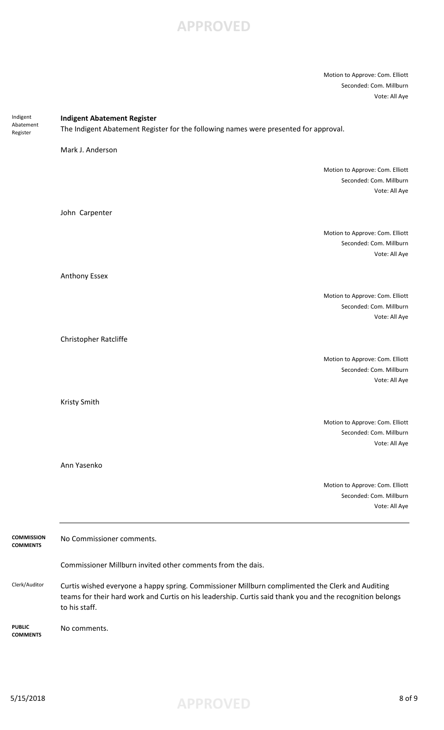Motion to Approve: Com. Elliott Seconded: Com. Millburn Vote: All Aye

| Indigent                             | <b>Indigent Abatement Register</b>                                                                                                                                                                                             |                                                                             |  |
|--------------------------------------|--------------------------------------------------------------------------------------------------------------------------------------------------------------------------------------------------------------------------------|-----------------------------------------------------------------------------|--|
| Abatement<br>Register                | The Indigent Abatement Register for the following names were presented for approval.                                                                                                                                           |                                                                             |  |
|                                      | Mark J. Anderson                                                                                                                                                                                                               |                                                                             |  |
|                                      |                                                                                                                                                                                                                                | Motion to Approve: Com. Elliott<br>Seconded: Com. Millburn<br>Vote: All Aye |  |
|                                      | John Carpenter                                                                                                                                                                                                                 |                                                                             |  |
|                                      |                                                                                                                                                                                                                                | Motion to Approve: Com. Elliott<br>Seconded: Com. Millburn<br>Vote: All Aye |  |
|                                      | Anthony Essex                                                                                                                                                                                                                  |                                                                             |  |
|                                      |                                                                                                                                                                                                                                | Motion to Approve: Com. Elliott<br>Seconded: Com. Millburn<br>Vote: All Aye |  |
|                                      | Christopher Ratcliffe                                                                                                                                                                                                          |                                                                             |  |
|                                      |                                                                                                                                                                                                                                | Motion to Approve: Com. Elliott<br>Seconded: Com. Millburn<br>Vote: All Aye |  |
|                                      | Kristy Smith                                                                                                                                                                                                                   |                                                                             |  |
|                                      |                                                                                                                                                                                                                                | Motion to Approve: Com. Elliott<br>Seconded: Com. Millburn<br>Vote: All Aye |  |
|                                      | Ann Yasenko                                                                                                                                                                                                                    |                                                                             |  |
|                                      |                                                                                                                                                                                                                                | Motion to Approve: Com. Elliott<br>Seconded: Com. Millburn<br>Vote: All Aye |  |
| <b>COMMISSION</b><br><b>COMMENTS</b> | No Commissioner comments.                                                                                                                                                                                                      |                                                                             |  |
|                                      | Commissioner Millburn invited other comments from the dais.                                                                                                                                                                    |                                                                             |  |
| Clerk/Auditor                        | Curtis wished everyone a happy spring. Commissioner Millburn complimented the Clerk and Auditing<br>teams for their hard work and Curtis on his leadership. Curtis said thank you and the recognition belongs<br>to his staff. |                                                                             |  |
| <b>PUBLIC</b>                        | No comments.                                                                                                                                                                                                                   |                                                                             |  |

**COMMENTS**